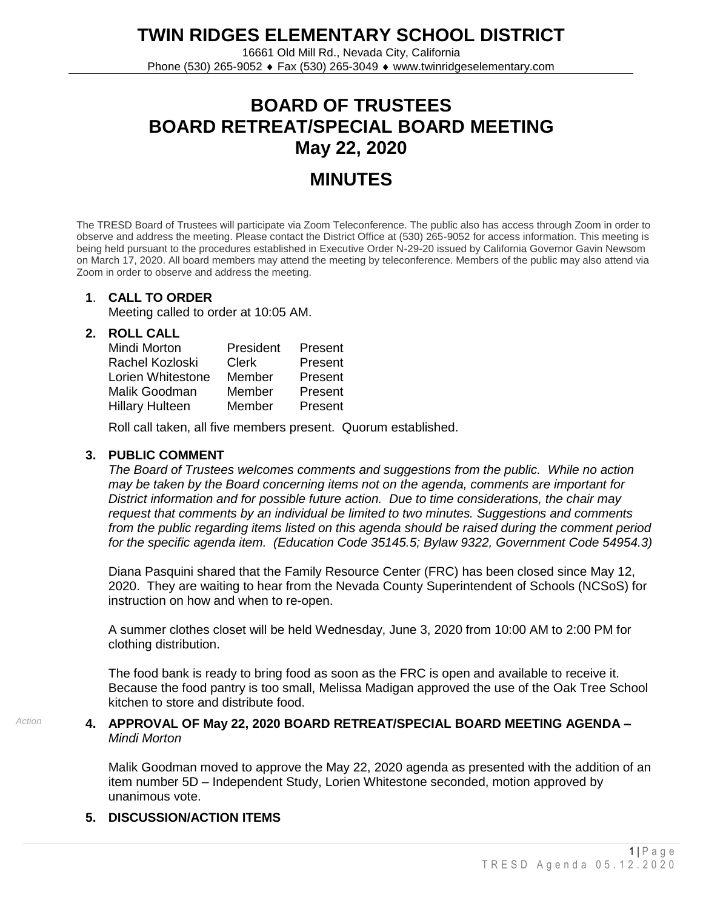**TWIN RIDGES ELEMENTARY SCHOOL DISTRICT**

16661 Old Mill Rd., Nevada City, California Phone (530) 265-9052 ♦ Fax (530) 265-3049 ♦ www.twinridgeselementary.com

# **BOARD OF TRUSTEES BOARD RETREAT/SPECIAL BOARD MEETING May 22, 2020**

# **MINUTES**

The TRESD Board of Trustees will participate via Zoom Teleconference. The public also has access through Zoom in order to observe and address the meeting. Please contact the District Office at (530) 265-9052 for access information. This meeting is being held pursuant to the procedures established in Executive Order N-29-20 issued by California Governor Gavin Newsom on March 17, 2020. All board members may attend the meeting by teleconference. Members of the public may also attend via Zoom in order to observe and address the meeting.

# **1**. **CALL TO ORDER**

Meeting called to order at 10:05 AM.

#### **2. ROLL CALL**

| Mindi Morton           | President | Present |
|------------------------|-----------|---------|
| Rachel Kozloski        | Clerk     | Present |
| Lorien Whitestone      | Member    | Present |
| Malik Goodman          | Member    | Present |
| <b>Hillary Hulteen</b> | Member    | Present |

Roll call taken, all five members present. Quorum established.

#### **3. PUBLIC COMMENT**

*The Board of Trustees welcomes comments and suggestions from the public. While no action may be taken by the Board concerning items not on the agenda, comments are important for District information and for possible future action. Due to time considerations, the chair may request that comments by an individual be limited to two minutes. Suggestions and comments from the public regarding items listed on this agenda should be raised during the comment period for the specific agenda item. (Education Code 35145.5; Bylaw 9322, Government Code 54954.3)*

Diana Pasquini shared that the Family Resource Center (FRC) has been closed since May 12, 2020. They are waiting to hear from the Nevada County Superintendent of Schools (NCSoS) for instruction on how and when to re-open.

A summer clothes closet will be held Wednesday, June 3, 2020 from 10:00 AM to 2:00 PM for clothing distribution.

The food bank is ready to bring food as soon as the FRC is open and available to receive it. Because the food pantry is too small, Melissa Madigan approved the use of the Oak Tree School kitchen to store and distribute food.

#### *Action* **4. APPROVAL OF May 22, 2020 BOARD RETREAT/SPECIAL BOARD MEETING AGENDA –** *Mindi Morton*

Malik Goodman moved to approve the May 22, 2020 agenda as presented with the addition of an item number 5D – Independent Study, Lorien Whitestone seconded, motion approved by unanimous vote.

#### **5. DISCUSSION/ACTION ITEMS**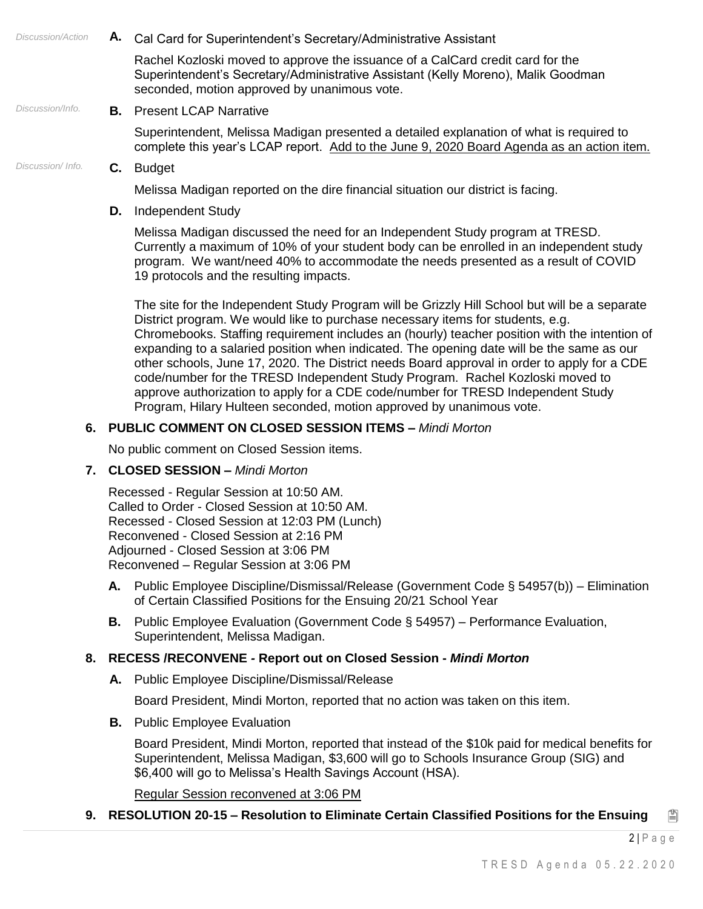*Discussion/Action* **A.** Cal Card for Superintendent's Secretary/Administrative Assistant

Rachel Kozloski moved to approve the issuance of a CalCard credit card for the Superintendent's Secretary/Administrative Assistant (Kelly Moreno), Malik Goodman seconded, motion approved by unanimous vote.

# *Discussion/Info.* **B.** Present LCAP Narrative

Superintendent, Melissa Madigan presented a detailed explanation of what is required to complete this year's LCAP report. Add to the June 9, 2020 Board Agenda as an action item.

# *Discussion/ Info.* **C.** Budget

Melissa Madigan reported on the dire financial situation our district is facing.

**D.** Independent Study

Melissa Madigan discussed the need for an Independent Study program at TRESD. Currently a maximum of 10% of your student body can be enrolled in an independent study program. We want/need 40% to accommodate the needs presented as a result of COVID 19 protocols and the resulting impacts.

The site for the Independent Study Program will be Grizzly Hill School but will be a separate District program. We would like to purchase necessary items for students, e.g. Chromebooks. Staffing requirement includes an (hourly) teacher position with the intention of expanding to a salaried position when indicated. The opening date will be the same as our other schools, June 17, 2020. The District needs Board approval in order to apply for a CDE code/number for the TRESD Independent Study Program. Rachel Kozloski moved to approve authorization to apply for a CDE code/number for TRESD Independent Study Program, Hilary Hulteen seconded, motion approved by unanimous vote.

# **6. PUBLIC COMMENT ON CLOSED SESSION ITEMS –** *Mindi Morton*

No public comment on Closed Session items.

# **7. CLOSED SESSION –** *Mindi Morton*

Recessed - Regular Session at 10:50 AM. Called to Order - Closed Session at 10:50 AM. Recessed - Closed Session at 12:03 PM (Lunch) Reconvened - Closed Session at 2:16 PM Adjourned - Closed Session at 3:06 PM Reconvened – Regular Session at 3:06 PM

- **A.** Public Employee Discipline/Dismissal/Release (Government Code § 54957(b)) Elimination of Certain Classified Positions for the Ensuing 20/21 School Year
- **B.** Public Employee Evaluation (Government Code § 54957) Performance Evaluation, Superintendent, Melissa Madigan.

# **8. RECESS /RECONVENE** *-* **Report out on Closed Session -** *Mindi Morton*

**A.** Public Employee Discipline/Dismissal/Release

Board President, Mindi Morton, reported that no action was taken on this item.

**B.** Public Employee Evaluation

Board President, Mindi Morton, reported that instead of the \$10k paid for medical benefits for Superintendent, Melissa Madigan, \$3,600 will go to Schools Insurance Group (SIG) and \$6,400 will go to Melissa's Health Savings Account (HSA).

Regular Session reconvened at 3:06 PM

# **9. RESOLUTION 20-15 – Resolution to Eliminate Certain Classified Positions for the Ensuing**

 $2|P \text{ a } q e$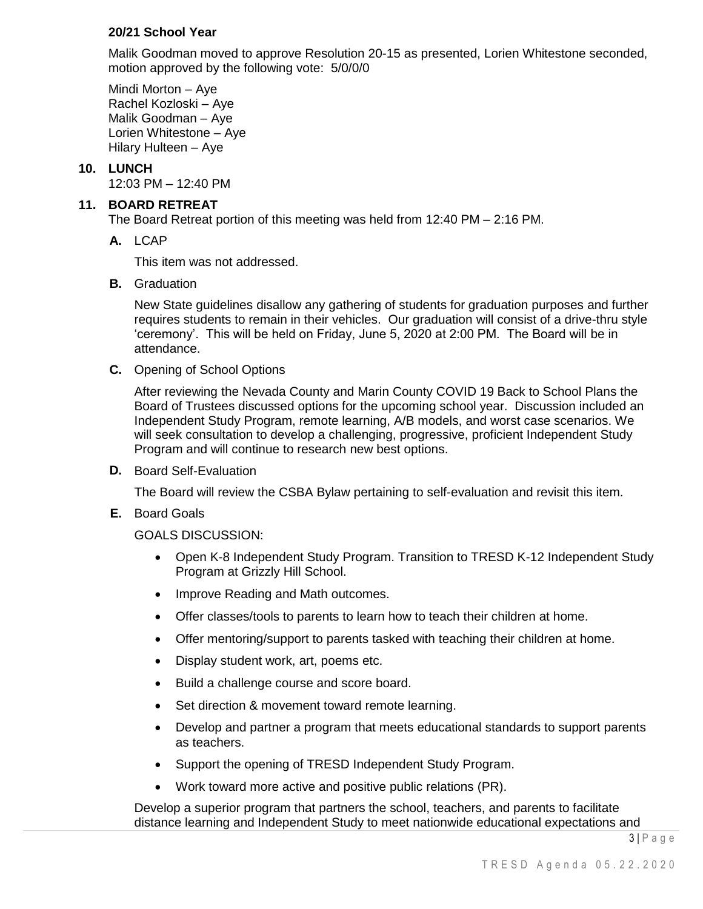# **20/21 School Year**

Malik Goodman moved to approve Resolution 20-15 as presented, Lorien Whitestone seconded, motion approved by the following vote: 5/0/0/0

Mindi Morton – Aye Rachel Kozloski – Aye Malik Goodman – Aye Lorien Whitestone – Aye Hilary Hulteen – Aye

#### **10. LUNCH**

12:03 PM – 12:40 PM

#### **11. BOARD RETREAT**

The Board Retreat portion of this meeting was held from 12:40 PM – 2:16 PM.

**A.** LCAP

This item was not addressed.

**B.** Graduation

New State guidelines disallow any gathering of students for graduation purposes and further requires students to remain in their vehicles. Our graduation will consist of a drive-thru style 'ceremony'. This will be held on Friday, June 5, 2020 at 2:00 PM. The Board will be in attendance.

**C.** Opening of School Options

After reviewing the Nevada County and Marin County COVID 19 Back to School Plans the Board of Trustees discussed options for the upcoming school year. Discussion included an Independent Study Program, remote learning, A/B models, and worst case scenarios. We will seek consultation to develop a challenging, progressive, proficient Independent Study Program and will continue to research new best options.

**D.** Board Self-Evaluation

The Board will review the CSBA Bylaw pertaining to self-evaluation and revisit this item.

**E.** Board Goals

GOALS DISCUSSION:

- Open K-8 Independent Study Program. Transition to TRESD K-12 Independent Study Program at Grizzly Hill School.
- Improve Reading and Math outcomes.
- Offer classes/tools to parents to learn how to teach their children at home.
- Offer mentoring/support to parents tasked with teaching their children at home.
- Display student work, art, poems etc.
- Build a challenge course and score board.
- Set direction & movement toward remote learning.
- Develop and partner a program that meets educational standards to support parents as teachers.
- Support the opening of TRESD Independent Study Program.
- Work toward more active and positive public relations (PR).

Develop a superior program that partners the school, teachers, and parents to facilitate distance learning and Independent Study to meet nationwide educational expectations and